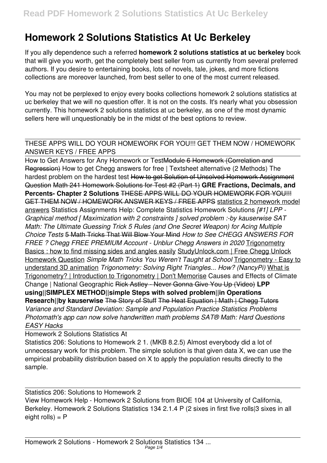## **Homework 2 Solutions Statistics At Uc Berkeley**

If you ally dependence such a referred **homework 2 solutions statistics at uc berkeley** book that will give you worth, get the completely best seller from us currently from several preferred authors. If you desire to entertaining books, lots of novels, tale, jokes, and more fictions collections are moreover launched, from best seller to one of the most current released.

You may not be perplexed to enjoy every books collections homework 2 solutions statistics at uc berkeley that we will no question offer. It is not on the costs. It's nearly what you obsession currently. This homework 2 solutions statistics at uc berkeley, as one of the most dynamic sellers here will unquestionably be in the midst of the best options to review.

## THESE APPS WILL DO YOUR HOMEWORK FOR YOU!!! GET THEM NOW / HOMEWORK ANSWER KEYS / FREE APPS

How to Get Answers for Any Homework or TestModule 6 Homework (Correlation and Regression) How to get Chegg answers for free | Textsheet alternative (2 Methods) The hardest problem on the hardest test How to get Solution of Unsolved Homework Assignment Question Math 241 Homework Solutions for Test #2 (Part 1) **GRE Fractions, Decimals, and Percents- Chapter 2 Solutions** THESE APPS WILL DO YOUR HOMEWORK FOR YOU!!! GET THEM NOW / HOMEWORK ANSWER KEYS / FREE APPS statistics 2 homework model answers Statistics Assignments Help: Complete Statistics Homework Solutions *[#1] LPP - Graphical method [ Maximization with 2 constraints ] solved problem :-by kauserwise SAT Math: The Ultimate Guessing Trick 5 Rules (and One Secret Weapon) for Acing Multiple Choice Tests* 5 Math Tricks That Will Blow Your Mind *How to See CHEGG ANSWERS FOR* **FREE ? Chegg FREE PREMIUM Account - Unblur Chegg Answers in 2020 Trigonometry** Basics : how to find missing sides and angles easily StudyUnlock.com | Free Chegg Unlock Homework Question *Simple Math Tricks You Weren't Taught at School* Trigonometry - Easy to understand 3D animation *Trigonometry: Solving Right Triangles... How? (NancyPi)* What is Trigonometry? | Introduction to Trigonometry | Don't Memorise Causes and Effects of Climate Change | National Geographic Rick Astley - Never Gonna Give You Up (Video) **LPP using||SIMPLEX METHOD||simple Steps with solved problem||in Operations Research||by kauserwise** The Story of Stuff The Heat Equation | Math | Chegg Tutors *Variance and Standard Deviation: Sample and Population Practice Statistics Problems Photomath's app can now solve handwritten math problems SAT® Math: Hard Questions EASY Hacks*

Homework 2 Solutions Statistics At

Statistics 206: Solutions to Homework 2 1. (MKB 8.2.5) Almost everybody did a lot of unnecessary work for this problem. The simple solution is that given data X, we can use the empirical probability distribution based on X to apply the population results directly to the sample.

Statistics 206: Solutions to Homework 2 View Homework Help - Homework 2 Solutions from BIOE 104 at University of California, Berkeley. Homework 2 Solutions Statistics 134 2.1.4 P (2 sixes in first five rolls|3 sixes in all  $eight$  rolls) =  $P$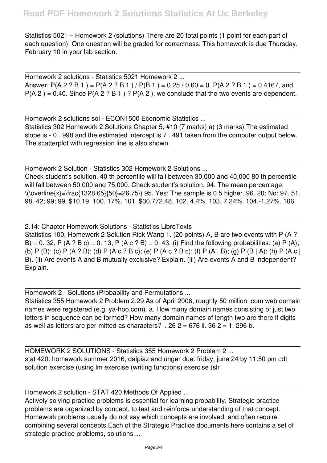Statistics 5021 – Homework 2 (solutions) There are 20 total points (1 point for each part of each question). One question will be graded for correctness. This homework is due Thursday, February 10 in your lab section.

Homework 2 solutions - Statistics 5021 Homework 2 ... Answer: P(A 2 ? B 1) = P(A 2 ? B 1) / P(B 1) = 0.25 / 0.60 = 0. P(A 2 ? B 1) = 0.4167, and  $P(A 2) = 0.40$ . Since  $P(A 2 ? B 1) ? P(A 2)$ , we conclude that the two events are dependent.

Homework 2 solutions sol - ECON1500 Economic Statistics ... Statistics 302 Homework 2 Solutions Chapter 5, #10 (7 marks) a) (3 marks) The estimated slope is - 0 . 998 and the estimated intercept is 7 . 491 taken from the computer output below. The scatterplot with regression line is also shown.

Homework 2 Solution - Statistics 302 Homework 2 Solutions ... Check student's solution. 40 th percentile will fall between 30,000 and 40,000 80 th percentile will fall between 50,000 and 75,000. Check student's solution. 94. The mean percentage,  $\langle\Delta x|\cos\theta(x)=\frac{1328.65}{50}=26.75\rangle$  95. Yes; The sample is 0.5 higher. 96. 20; No; 97. 51. 98. 42; 99; 99. \$10.19. 100. 17%. 101. \$30,772.48. 102. 4.4%. 103. 7.24%. 104.-1.27%. 106.

2.14: Chapter Homework Solutions - Statistics LibreTexts Statistics 100, Homework 2 Solution Rick Wang 1. (20 points) A, B are two events with P (A ? B) = 0. 32, P (A ? B c) = 0. 13, P (A c ? B) = 0. 43. (i) Find the following probabilities: (a) P (A); (b) P (B); (c) P (A ? B); (d) P (A c ? B c); (e) P (A c ? B c); (f) P (A | B); (g) P (B | A); (h) P (A c | B). (ii) Are events A and B mutually exclusive? Explain. (iii) Are events A and B independent? Explain.

Homework 2 - Solutions (Probability and Permutations ... Statistics 355 Homework 2 Problem 2.29 As of April 2006, roughly 50 million .com web domain names were registered (e.g. ya-hoo.com). a. How many domain names consisting of just two letters in sequence can be formed? How many domain names of length two are there if digits as well as letters are per-mitted as characters? i.  $26$   $2 = 676$  ii.  $36$   $2 = 1$ ,  $296$  b.

HOMEWORK 2 SOLUTIONS - Statistics 355 Homework 2 Problem 2 ... stat 420: homework summer 2016, dalpiaz and unger due: friday, june 24 by 11:50 pm cdt solution exercise (using lm exercise (writing functions) exercise (slr

Homework 2 solution - STAT 420 Methods Of Applied ...

Actively solving practice problems is essential for learning probability. Strategic practice problems are organized by concept, to test and reinforce understanding of that concept. Homework problems usually do not say which concepts are involved, and often require combining several concepts.Each of the Strategic Practice documents here contains a set of strategic practice problems, solutions ...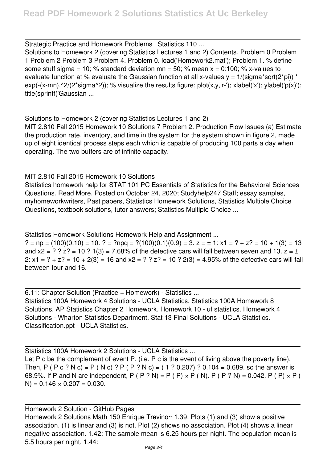Strategic Practice and Homework Problems | Statistics 110 ... Solutions to Homework 2 (covering Statistics Lectures 1 and 2) Contents. Problem 0 Problem 1 Problem 2 Problem 3 Problem 4. Problem 0. load('Homework2.mat'); Problem 1. % define some stuff sigma = 10; % standard deviation mn = 50; % mean  $x = 0:100$ ; % x-values to evaluate function at % evaluate the Gaussian function at all x-values  $y = 1/(sigma^*sgrt(2<sup>*</sup>pi))$  \*  $exp(-(x-mn).^2/(2*sigma^2))$ ; % visualize the results figure; plot(x,y,'r-'); xlabel('x'); ylabel('p(x)'); title(sprintf('Gaussian ...

Solutions to Homework 2 (covering Statistics Lectures 1 and 2) MIT 2.810 Fall 2015 Homework 10 Solutions 7 Problem 2. Production Flow Issues (a) Estimate the production rate, inventory, and time in the system for the system shown in figure 2, made up of eight identical process steps each which is capable of producing 100 parts a day when operating. The two buffers are of infinite capacity.

MIT 2.810 Fall 2015 Homework 10 Solutions Statistics homework help for STAT 101 PC Essentials of Statistics for the Behavioral Sciences Questions. Read More. Posted on October 24, 2020; Studyhelp247 Staff; essay samples, myhomeworkwriters, Past papers, Statistics Homework Solutions, Statistics Multiple Choice Questions, textbook solutions, tutor answers; Statistics Multiple Choice ...

Statistics Homework Solutions Homework Help and Assignment ... ? = np =  $(100)(0.10)$  = 10. ? = ?npq =  $?$  $(100)(0.1)(0.9)$  = 3. z =  $\pm$  1: x1 = ? + z? = 10 + 1(3) = 13 and  $x^2 = ? ? z^2 = 10 ? 1(3) = 7.68\%$  of the defective cars will fall between seven and 13.  $z = \pm$ 2:  $x1 = ? + z? = 10 + 2(3) = 16$  and  $x2 = ? ? z? = 10 ? 2(3) = 4.95%$  of the defective cars will fall between four and 16.

6.11: Chapter Solution (Practice + Homework) - Statistics ... Statistics 100A Homework 4 Solutions - UCLA Statistics. Statistics 100A Homework 8 Solutions. AP Statistics Chapter 2 Homework. Homework 10 - uf statistics. Homework 4 Solutions - Wharton Statistics Department. Stat 13 Final Solutions - UCLA Statistics. Classification.ppt - UCLA Statistics.

Statistics 100A Homework 2 Solutions - UCLA Statistics ... Let P c be the complement of event P. (i.e. P c is the event of living above the poverty line). Then, P ( P c ? N c) = P ( N c) ? P ( P ? N c) = ( 1 ? 0.207) ? 0.104 = 0.689. so the answer is 68.9%. If P and N are independent, P ( P ? N) = P ( P)  $\times$  P ( N). P ( P ? N) = 0.042. P ( P)  $\times$  P (  $N$ ) = 0.146  $\times$  0.207 = 0.030.

Homework 2 Solution - GitHub Pages Homework 2 Solutions Math 150 Enrique Trevino~ 1.39: Plots (1) and (3) show a positive association. (1) is linear and (3) is not. Plot (2) shows no association. Plot (4) shows a linear negative association. 1.42: The sample mean is 6.25 hours per night. The population mean is 5.5 hours per night. 1.44: